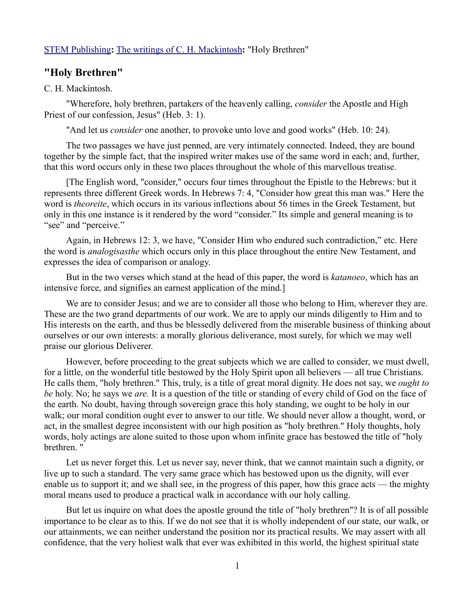## [STEM Publishing](http://www.stempublishing.com/)**:** [The writings of C. H. Mackintosh](http://www.stempublishing.com/authors/mackintosh/index.html)**:** "Holy Brethren"

## **"Holy Brethren"**

## C. H. Mackintosh.

"Wherefore, holy brethren, partakers of the heavenly calling, *consider* the Apostle and High Priest of our confession, Jesus" (Heb. 3: 1).

"And let us *consider* one another, to provoke unto love and good works" (Heb. 10: 24).

The two passages we have just penned, are very intimately connected. Indeed, they are bound together by the simple fact, that the inspired writer makes use of the same word in each; and, further, that this word occurs only in these two places throughout the whole of this marvellous treatise.

[The English word, "consider," occurs four times throughout the Epistle to the Hebrews: but it represents three different Greek words. In Hebrews 7: 4, "Consider how great this man was." Here the word is *theoreite*, which occurs in its various inflections about 56 times in the Greek Testament, but only in this one instance is it rendered by the word "consider." Its simple and general meaning is to "see" and "perceive."

Again, in Hebrews 12: 3, we have, "Consider Him who endured such contradiction," etc. Here the word is *analogisasthe* which occurs only in this place throughout the entire New Testament, and expresses the idea of comparison or analogy.

But in the two verses which stand at the head of this paper, the word is *katanoeo*, which has an intensive force, and signifies an earnest application of the mind.]

We are to consider Jesus; and we are to consider all those who belong to Him, wherever they are. These are the two grand departments of our work. We are to apply our minds diligently to Him and to His interests on the earth, and thus be blessedly delivered from the miserable business of thinking about ourselves or our own interests: a morally glorious deliverance, most surely, for which we may well praise our glorious Deliverer.

However, before proceeding to the great subjects which we are called to consider, we must dwell, for a little, on the wonderful title bestowed by the Holy Spirit upon all believers — all true Christians. He calls them, "holy brethren." This, truly, is a title of great moral dignity. He does not say, we *ought to be* holy. No; he says we *are.* It is a question of the title or standing of every child of God on the face of the earth. No doubt, having through sovereign grace this holy standing, we ought to be holy in our walk; our moral condition ought ever to answer to our title. We should never allow a thought, word, or act, in the smallest degree inconsistent with our high position as "holy brethren." Holy thoughts, holy words, holy actings are alone suited to those upon whom infinite grace has bestowed the title of "holy brethren. "

Let us never forget this. Let us never say, never think, that we cannot maintain such a dignity, or live up to such a standard. The very same grace which has bestowed upon us the dignity, will ever enable us to support it; and we shall see, in the progress of this paper, how this grace acts — the mighty moral means used to produce a practical walk in accordance with our holy calling.

But let us inquire on what does the apostle ground the title of "holy brethren"? It is of all possible importance to be clear as to this. If we do not see that it is wholly independent of our state, our walk, or our attainments, we can neither understand the position nor its practical results. We may assert with all confidence, that the very holiest walk that ever was exhibited in this world, the highest spiritual state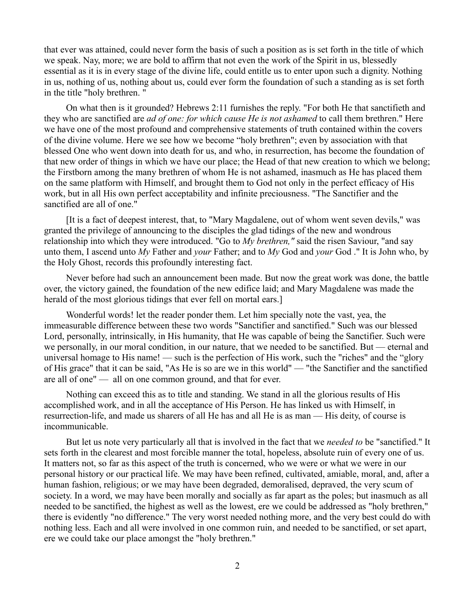that ever was attained, could never form the basis of such a position as is set forth in the title of which we speak. Nay, more; we are bold to affirm that not even the work of the Spirit in us, blessedly essential as it is in every stage of the divine life, could entitle us to enter upon such a dignity. Nothing in us, nothing of us, nothing about us, could ever form the foundation of such a standing as is set forth in the title "holy brethren. "

On what then is it grounded? Hebrews 2:11 furnishes the reply. "For both He that sanctifieth and they who are sanctified are *ad of one: for which cause He is not ashamed* to call them brethren." Here we have one of the most profound and comprehensive statements of truth contained within the covers of the divine volume. Here we see how we become "holy brethren"; even by association with that blessed One who went down into death for us, and who, in resurrection, has become the foundation of that new order of things in which we have our place; the Head of that new creation to which we belong; the Firstborn among the many brethren of whom He is not ashamed, inasmuch as He has placed them on the same platform with Himself, and brought them to God not only in the perfect efficacy of His work, but in all His own perfect acceptability and infinite preciousness. "The Sanctifier and the sanctified are all of one."

[It is a fact of deepest interest, that, to "Mary Magdalene, out of whom went seven devils," was granted the privilege of announcing to the disciples the glad tidings of the new and wondrous relationship into which they were introduced. "Go to *My brethren,"* said the risen Saviour, "and say unto them, I ascend unto *My* Father and *your* Father; and to *My* God and *your* God ." It is John who, by the Holy Ghost, records this profoundly interesting fact.

Never before had such an announcement been made. But now the great work was done, the battle over, the victory gained, the foundation of the new edifice laid; and Mary Magdalene was made the herald of the most glorious tidings that ever fell on mortal ears.]

Wonderful words! let the reader ponder them. Let him specially note the vast, yea, the immeasurable difference between these two words "Sanctifier and sanctified." Such was our blessed Lord, personally, intrinsically, in His humanity, that He was capable of being the Sanctifier. Such were we personally, in our moral condition, in our nature, that we needed to be sanctified. But — eternal and universal homage to His name! — such is the perfection of His work, such the "riches" and the "glory of His grace" that it can be said, "As He is so are we in this world" — "the Sanctifier and the sanctified are all of one" — all on one common ground, and that for ever.

Nothing can exceed this as to title and standing. We stand in all the glorious results of His accomplished work, and in all the acceptance of His Person. He has linked us with Himself, in resurrection-life, and made us sharers of all He has and all He is as man — His deity, of course is incommunicable.

But let us note very particularly all that is involved in the fact that we *needed to* be "sanctified." It sets forth in the clearest and most forcible manner the total, hopeless, absolute ruin of every one of us. It matters not, so far as this aspect of the truth is concerned, who we were or what we were in our personal history or our practical life. We may have been refined, cultivated, amiable, moral, and, after a human fashion, religious; or we may have been degraded, demoralised, depraved, the very scum of society. In a word, we may have been morally and socially as far apart as the poles; but inasmuch as all needed to be sanctified, the highest as well as the lowest, ere we could be addressed as "holy brethren," there is evidently "no difference." The very worst needed nothing more, and the very best could do with nothing less. Each and all were involved in one common ruin, and needed to be sanctified, or set apart, ere we could take our place amongst the "holy brethren."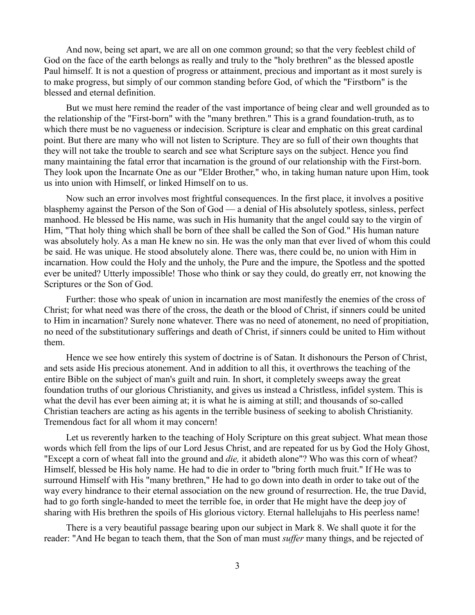And now, being set apart, we are all on one common ground; so that the very feeblest child of God on the face of the earth belongs as really and truly to the "holy brethren" as the blessed apostle Paul himself. It is not a question of progress or attainment, precious and important as it most surely is to make progress, but simply of our common standing before God, of which the "Firstborn" is the blessed and eternal definition.

But we must here remind the reader of the vast importance of being clear and well grounded as to the relationship of the "First-born" with the "many brethren." This is a grand foundation-truth, as to which there must be no vagueness or indecision. Scripture is clear and emphatic on this great cardinal point. But there are many who will not listen to Scripture. They are so full of their own thoughts that they will not take the trouble to search and see what Scripture says on the subject. Hence you find many maintaining the fatal error that incarnation is the ground of our relationship with the First-born. They look upon the Incarnate One as our "Elder Brother," who, in taking human nature upon Him, took us into union with Himself, or linked Himself on to us.

Now such an error involves most frightful consequences. In the first place, it involves a positive blasphemy against the Person of the Son of God — a denial of His absolutely spotless, sinless, perfect manhood. He blessed be His name, was such in His humanity that the angel could say to the virgin of Him, "That holy thing which shall be born of thee shall be called the Son of God." His human nature was absolutely holy. As a man He knew no sin. He was the only man that ever lived of whom this could be said. He was unique. He stood absolutely alone. There was, there could be, no union with Him in incarnation. How could the Holy and the unholy, the Pure and the impure, the Spotless and the spotted ever be united? Utterly impossible! Those who think or say they could, do greatly err, not knowing the Scriptures or the Son of God.

Further: those who speak of union in incarnation are most manifestly the enemies of the cross of Christ; for what need was there of the cross, the death or the blood of Christ, if sinners could be united to Him in incarnation? Surely none whatever. There was no need of atonement, no need of propitiation, no need of the substitutionary sufferings and death of Christ, if sinners could be united to Him without them.

Hence we see how entirely this system of doctrine is of Satan. It dishonours the Person of Christ, and sets aside His precious atonement. And in addition to all this, it overthrows the teaching of the entire Bible on the subject of man's guilt and ruin. In short, it completely sweeps away the great foundation truths of our glorious Christianity, and gives us instead a Christless, infidel system. This is what the devil has ever been aiming at; it is what he is aiming at still; and thousands of so-called Christian teachers are acting as his agents in the terrible business of seeking to abolish Christianity. Tremendous fact for all whom it may concern!

Let us reverently harken to the teaching of Holy Scripture on this great subject. What mean those words which fell from the lips of our Lord Jesus Christ, and are repeated for us by God the Holy Ghost, "Except a corn of wheat fall into the ground and *die,* it abideth alone"? Who was this corn of wheat? Himself, blessed be His holy name. He had to die in order to "bring forth much fruit." If He was to surround Himself with His "many brethren," He had to go down into death in order to take out of the way every hindrance to their eternal association on the new ground of resurrection. He, the true David, had to go forth single-handed to meet the terrible foe, in order that He might have the deep joy of sharing with His brethren the spoils of His glorious victory. Eternal hallelujahs to His peerless name!

There is a very beautiful passage bearing upon our subject in Mark 8. We shall quote it for the reader: "And He began to teach them, that the Son of man must *suffer* many things, and be rejected of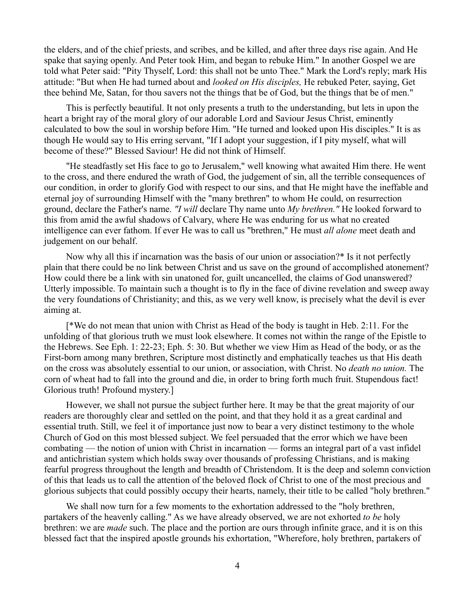the elders, and of the chief priests, and scribes, and be killed, and after three days rise again. And He spake that saying openly. And Peter took Him, and began to rebuke Him." In another Gospel we are told what Peter said: "Pity Thyself, Lord: this shall not be unto Thee." Mark the Lord's reply; mark His attitude: "But when He had turned about and *looked on His disciples,* He rebuked Peter, saying, Get thee behind Me, Satan, for thou savers not the things that be of God, but the things that be of men."

This is perfectly beautiful. It not only presents a truth to the understanding, but lets in upon the heart a bright ray of the moral glory of our adorable Lord and Saviour Jesus Christ, eminently calculated to bow the soul in worship before Him. "He turned and looked upon His disciples." It is as though He would say to His erring servant, "If I adopt your suggestion, if I pity myself, what will become of these?" Blessed Saviour! He did not think of Himself.

"He steadfastly set His face to go to Jerusalem," well knowing what awaited Him there. He went to the cross, and there endured the wrath of God, the judgement of sin, all the terrible consequences of our condition, in order to glorify God with respect to our sins, and that He might have the ineffable and eternal joy of surrounding Himself with the "many brethren" to whom He could, on resurrection ground, declare the Father's name. *"I will* declare Thy name unto *My brethren."* He looked forward to this from amid the awful shadows of Calvary, where He was enduring for us what no created intelligence can ever fathom. If ever He was to call us "brethren," He must *all alone* meet death and judgement on our behalf.

Now why all this if incarnation was the basis of our union or association?\* Is it not perfectly plain that there could be no link between Christ and us save on the ground of accomplished atonement? How could there be a link with sin unatoned for, guilt uncancelled, the claims of God unanswered? Utterly impossible. To maintain such a thought is to fly in the face of divine revelation and sweep away the very foundations of Christianity; and this, as we very well know, is precisely what the devil is ever aiming at.

[\*We do not mean that union with Christ as Head of the body is taught in Heb. 2:11. For the unfolding of that glorious truth we must look elsewhere. It comes not within the range of the Epistle to the Hebrews. See Eph. 1: 22-23; Eph. 5: 30. But whether we view Him as Head of the body, or as the First-born among many brethren, Scripture most distinctly and emphatically teaches us that His death on the cross was absolutely essential to our union, or association, with Christ. No *death no union.* The corn of wheat had to fall into the ground and die, in order to bring forth much fruit. Stupendous fact! Glorious truth! Profound mystery.]

However, we shall not pursue the subject further here. It may be that the great majority of our readers are thoroughly clear and settled on the point, and that they hold it as a great cardinal and essential truth. Still, we feel it of importance just now to bear a very distinct testimony to the whole Church of God on this most blessed subject. We feel persuaded that the error which we have been combating — the notion of union with Christ in incarnation — forms an integral part of a vast infidel and antichristian system which holds sway over thousands of professing Christians, and is making fearful progress throughout the length and breadth of Christendom. It is the deep and solemn conviction of this that leads us to call the attention of the beloved flock of Christ to one of the most precious and glorious subjects that could possibly occupy their hearts, namely, their title to be called "holy brethren."

We shall now turn for a few moments to the exhortation addressed to the "holy brethren, partakers of the heavenly calling." As we have already observed, we are not exhorted *to be* holy brethren: we are *made* such. The place and the portion are ours through infinite grace, and it is on this blessed fact that the inspired apostle grounds his exhortation, "Wherefore, holy brethren, partakers of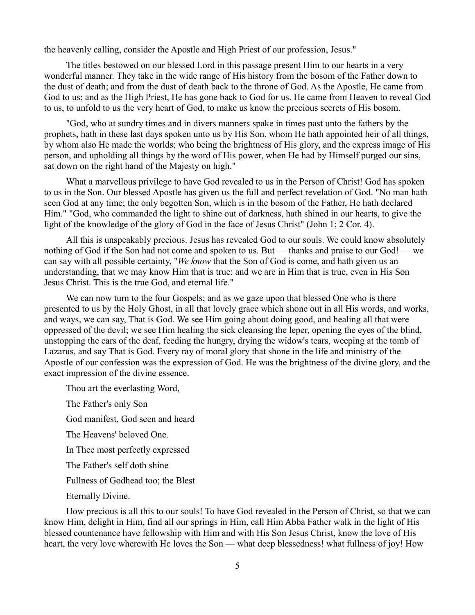the heavenly calling, consider the Apostle and High Priest of our profession, Jesus."

The titles bestowed on our blessed Lord in this passage present Him to our hearts in a very wonderful manner. They take in the wide range of His history from the bosom of the Father down to the dust of death; and from the dust of death back to the throne of God. As the Apostle, He came from God to us; and as the High Priest, He has gone back to God for us. He came from Heaven to reveal God to us, to unfold to us the very heart of God, to make us know the precious secrets of His bosom.

"God, who at sundry times and in divers manners spake in times past unto the fathers by the prophets, hath in these last days spoken unto us by His Son, whom He hath appointed heir of all things, by whom also He made the worlds; who being the brightness of His glory, and the express image of His person, and upholding all things by the word of His power, when He had by Himself purged our sins, sat down on the right hand of the Majesty on high."

What a marvellous privilege to have God revealed to us in the Person of Christ! God has spoken to us in the Son. Our blessed Apostle has given us the full and perfect revelation of God. "No man hath seen God at any time; the only begotten Son, which is in the bosom of the Father, He hath declared Him." "God, who commanded the light to shine out of darkness, hath shined in our hearts, to give the light of the knowledge of the glory of God in the face of Jesus Christ" (John 1; 2 Cor. 4).

All this is unspeakably precious. Jesus has revealed God to our souls. We could know absolutely nothing of God if the Son had not come and spoken to us. But — thanks and praise to our God! — we can say with all possible certainty, "*We know* that the Son of God is come, and hath given us an understanding, that we may know Him that is true: and we are in Him that is true, even in His Son Jesus Christ. This is the true God, and eternal life."

We can now turn to the four Gospels; and as we gaze upon that blessed One who is there presented to us by the Holy Ghost, in all that lovely grace which shone out in all His words, and works, and ways, we can say, That is God. We see Him going about doing good, and healing all that were oppressed of the devil; we see Him healing the sick cleansing the leper, opening the eyes of the blind, unstopping the ears of the deaf, feeding the hungry, drying the widow's tears, weeping at the tomb of Lazarus, and say That is God. Every ray of moral glory that shone in the life and ministry of the Apostle of our confession was the expression of God. He was the brightness of the divine glory, and the exact impression of the divine essence.

Thou art the everlasting Word,

The Father's only Son God manifest, God seen and heard The Heavens' beloved One. In Thee most perfectly expressed The Father's self doth shine Fullness of Godhead too; the Blest Eternally Divine.

How precious is all this to our souls! To have God revealed in the Person of Christ, so that we can know Him, delight in Him, find all our springs in Him, call Him Abba Father walk in the light of His blessed countenance have fellowship with Him and with His Son Jesus Christ, know the love of His heart, the very love wherewith He loves the Son — what deep blessedness! what fullness of joy! How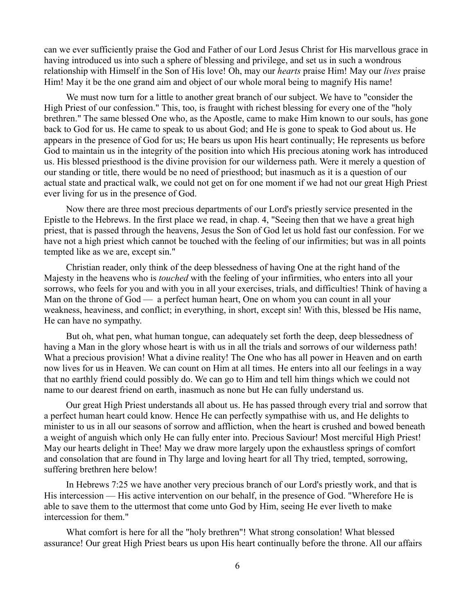can we ever sufficiently praise the God and Father of our Lord Jesus Christ for His marvellous grace in having introduced us into such a sphere of blessing and privilege, and set us in such a wondrous relationship with Himself in the Son of His love! Oh, may our *hearts* praise Him! May our *lives* praise Him! May it be the one grand aim and object of our whole moral being to magnify His name!

We must now turn for a little to another great branch of our subject. We have to "consider the High Priest of our confession." This, too, is fraught with richest blessing for every one of the "holy" brethren." The same blessed One who, as the Apostle, came to make Him known to our souls, has gone back to God for us. He came to speak to us about God; and He is gone to speak to God about us. He appears in the presence of God for us; He bears us upon His heart continually; He represents us before God to maintain us in the integrity of the position into which His precious atoning work has introduced us. His blessed priesthood is the divine provision for our wilderness path. Were it merely a question of our standing or title, there would be no need of priesthood; but inasmuch as it is a question of our actual state and practical walk, we could not get on for one moment if we had not our great High Priest ever living for us in the presence of God.

Now there are three most precious departments of our Lord's priestly service presented in the Epistle to the Hebrews. In the first place we read, in chap. 4, "Seeing then that we have a great high priest, that is passed through the heavens, Jesus the Son of God let us hold fast our confession. For we have not a high priest which cannot be touched with the feeling of our infirmities; but was in all points tempted like as we are, except sin."

Christian reader, only think of the deep blessedness of having One at the right hand of the Majesty in the heavens who is *touched* with the feeling of your infirmities, who enters into all your sorrows, who feels for you and with you in all your exercises, trials, and difficulties! Think of having a Man on the throne of God — a perfect human heart, One on whom you can count in all your weakness, heaviness, and conflict; in everything, in short, except sin! With this, blessed be His name, He can have no sympathy.

But oh, what pen, what human tongue, can adequately set forth the deep, deep blessedness of having a Man in the glory whose heart is with us in all the trials and sorrows of our wilderness path! What a precious provision! What a divine reality! The One who has all power in Heaven and on earth now lives for us in Heaven. We can count on Him at all times. He enters into all our feelings in a way that no earthly friend could possibly do. We can go to Him and tell him things which we could not name to our dearest friend on earth, inasmuch as none but He can fully understand us.

Our great High Priest understands all about us. He has passed through every trial and sorrow that a perfect human heart could know. Hence He can perfectly sympathise with us, and He delights to minister to us in all our seasons of sorrow and affliction, when the heart is crushed and bowed beneath a weight of anguish which only He can fully enter into. Precious Saviour! Most merciful High Priest! May our hearts delight in Thee! May we draw more largely upon the exhaustless springs of comfort and consolation that are found in Thy large and loving heart for all Thy tried, tempted, sorrowing, suffering brethren here below!

In Hebrews 7:25 we have another very precious branch of our Lord's priestly work, and that is His intercession — His active intervention on our behalf, in the presence of God. "Wherefore He is able to save them to the uttermost that come unto God by Him, seeing He ever liveth to make intercession for them."

What comfort is here for all the "holy brethren"! What strong consolation! What blessed assurance! Our great High Priest bears us upon His heart continually before the throne. All our affairs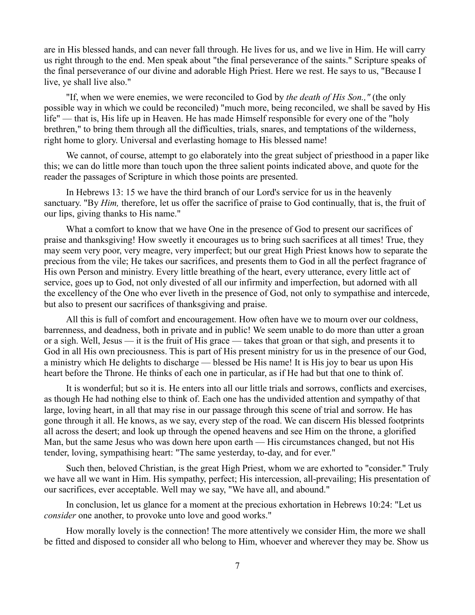are in His blessed hands, and can never fall through. He lives for us, and we live in Him. He will carry us right through to the end. Men speak about "the final perseverance of the saints." Scripture speaks of the final perseverance of our divine and adorable High Priest. Here we rest. He says to us, "Because I live, ye shall live also."

"If, when we were enemies, we were reconciled to God by *the death of His Son.,"* (the only possible way in which we could be reconciled) "much more, being reconciled, we shall be saved by His life" — that is, His life up in Heaven. He has made Himself responsible for every one of the "holy brethren," to bring them through all the difficulties, trials, snares, and temptations of the wilderness, right home to glory. Universal and everlasting homage to His blessed name!

We cannot, of course, attempt to go elaborately into the great subject of priesthood in a paper like this; we can do little more than touch upon the three salient points indicated above, and quote for the reader the passages of Scripture in which those points are presented.

In Hebrews 13: 15 we have the third branch of our Lord's service for us in the heavenly sanctuary. "By *Him*, therefore, let us offer the sacrifice of praise to God continually, that is, the fruit of our lips, giving thanks to His name."

What a comfort to know that we have One in the presence of God to present our sacrifices of praise and thanksgiving! How sweetly it encourages us to bring such sacrifices at all times! True, they may seem very poor, very meagre, very imperfect; but our great High Priest knows how to separate the precious from the vile; He takes our sacrifices, and presents them to God in all the perfect fragrance of His own Person and ministry. Every little breathing of the heart, every utterance, every little act of service, goes up to God, not only divested of all our infirmity and imperfection, but adorned with all the excellency of the One who ever liveth in the presence of God, not only to sympathise and intercede, but also to present our sacrifices of thanksgiving and praise.

All this is full of comfort and encouragement. How often have we to mourn over our coldness, barrenness, and deadness, both in private and in public! We seem unable to do more than utter a groan or a sigh. Well, Jesus — it is the fruit of His grace — takes that groan or that sigh, and presents it to God in all His own preciousness. This is part of His present ministry for us in the presence of our God, a ministry which He delights to discharge — blessed be His name! It is His joy to bear us upon His heart before the Throne. He thinks of each one in particular, as if He had but that one to think of.

It is wonderful; but so it is. He enters into all our little trials and sorrows, conflicts and exercises, as though He had nothing else to think of. Each one has the undivided attention and sympathy of that large, loving heart, in all that may rise in our passage through this scene of trial and sorrow. He has gone through it all. He knows, as we say, every step of the road. We can discern His blessed footprints all across the desert; and look up through the opened heavens and see Him on the throne, a glorified Man, but the same Jesus who was down here upon earth — His circumstances changed, but not His tender, loving, sympathising heart: "The same yesterday, to-day, and for ever."

Such then, beloved Christian, is the great High Priest, whom we are exhorted to "consider." Truly we have all we want in Him. His sympathy, perfect; His intercession, all-prevailing; His presentation of our sacrifices, ever acceptable. Well may we say, "We have all, and abound."

In conclusion, let us glance for a moment at the precious exhortation in Hebrews 10:24: "Let us *consider* one another, to provoke unto love and good works."

How morally lovely is the connection! The more attentively we consider Him, the more we shall be fitted and disposed to consider all who belong to Him, whoever and wherever they may be. Show us